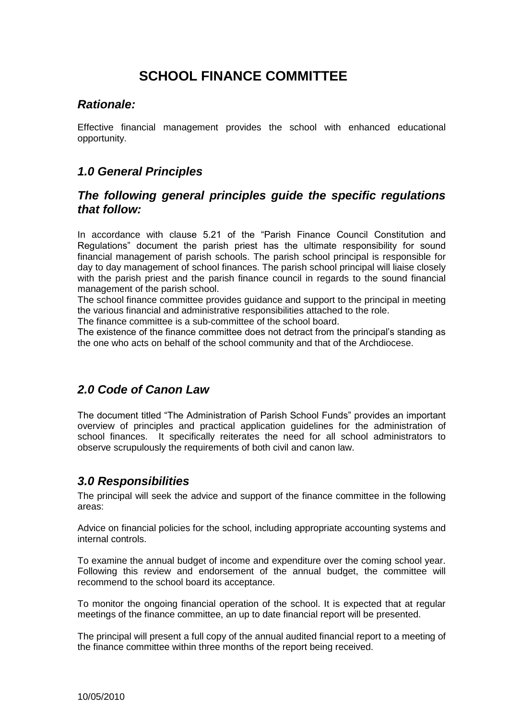# **SCHOOL FINANCE COMMITTEE**

### *Rationale:*

Effective financial management provides the school with enhanced educational opportunity.

### *1.0 General Principles*

### *The following general principles guide the specific regulations that follow:*

In accordance with clause 5.21 of the "Parish Finance Council Constitution and Regulations" document the parish priest has the ultimate responsibility for sound financial management of parish schools. The parish school principal is responsible for day to day management of school finances. The parish school principal will liaise closely with the parish priest and the parish finance council in regards to the sound financial management of the parish school.

The school finance committee provides guidance and support to the principal in meeting the various financial and administrative responsibilities attached to the role.

The finance committee is a sub-committee of the school board.

The existence of the finance committee does not detract from the principal's standing as the one who acts on behalf of the school community and that of the Archdiocese.

# *2.0 Code of Canon Law*

The document titled "The Administration of Parish School Funds" provides an important overview of principles and practical application guidelines for the administration of school finances. It specifically reiterates the need for all school administrators to observe scrupulously the requirements of both civil and canon law.

# *3.0 Responsibilities*

The principal will seek the advice and support of the finance committee in the following areas:

Advice on financial policies for the school, including appropriate accounting systems and internal controls.

To examine the annual budget of income and expenditure over the coming school year. Following this review and endorsement of the annual budget, the committee will recommend to the school board its acceptance.

To monitor the ongoing financial operation of the school. It is expected that at regular meetings of the finance committee, an up to date financial report will be presented.

The principal will present a full copy of the annual audited financial report to a meeting of the finance committee within three months of the report being received.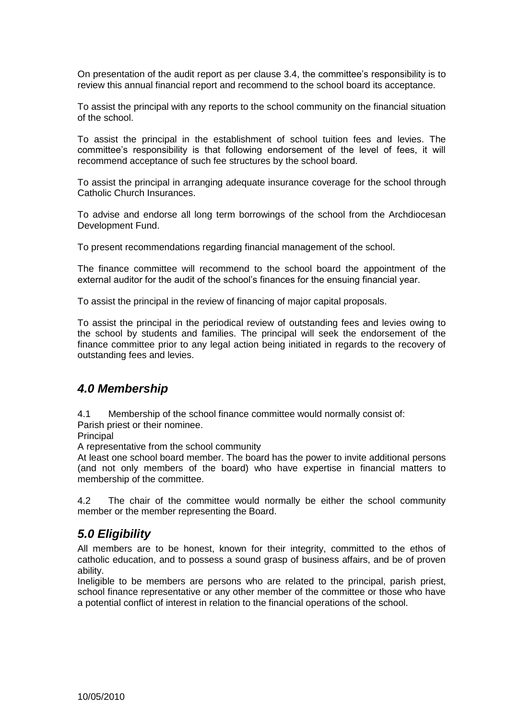On presentation of the audit report as per clause 3.4, the committee's responsibility is to review this annual financial report and recommend to the school board its acceptance.

To assist the principal with any reports to the school community on the financial situation of the school.

To assist the principal in the establishment of school tuition fees and levies. The committee's responsibility is that following endorsement of the level of fees, it will recommend acceptance of such fee structures by the school board.

To assist the principal in arranging adequate insurance coverage for the school through Catholic Church Insurances.

To advise and endorse all long term borrowings of the school from the Archdiocesan Development Fund.

To present recommendations regarding financial management of the school.

The finance committee will recommend to the school board the appointment of the external auditor for the audit of the school's finances for the ensuing financial year.

To assist the principal in the review of financing of major capital proposals.

To assist the principal in the periodical review of outstanding fees and levies owing to the school by students and families. The principal will seek the endorsement of the finance committee prior to any legal action being initiated in regards to the recovery of outstanding fees and levies.

#### *4.0 Membership*

4.1 Membership of the school finance committee would normally consist of:

Parish priest or their nominee.

**Principal** 

A representative from the school community

At least one school board member. The board has the power to invite additional persons (and not only members of the board) who have expertise in financial matters to membership of the committee.

4.2 The chair of the committee would normally be either the school community member or the member representing the Board.

### *5.0 Eligibility*

All members are to be honest, known for their integrity, committed to the ethos of catholic education, and to possess a sound grasp of business affairs, and be of proven ability.

Ineligible to be members are persons who are related to the principal, parish priest, school finance representative or any other member of the committee or those who have a potential conflict of interest in relation to the financial operations of the school.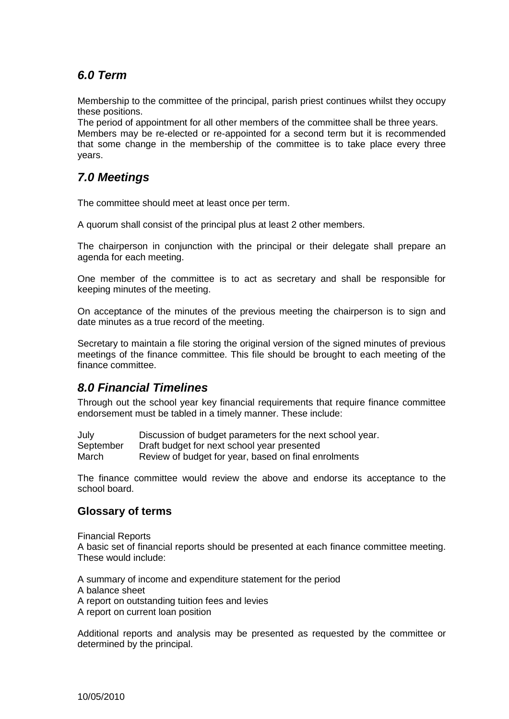# *6.0 Term*

Membership to the committee of the principal, parish priest continues whilst they occupy these positions.

The period of appointment for all other members of the committee shall be three years. Members may be re-elected or re-appointed for a second term but it is recommended that some change in the membership of the committee is to take place every three years.

### *7.0 Meetings*

The committee should meet at least once per term.

A quorum shall consist of the principal plus at least 2 other members.

The chairperson in conjunction with the principal or their delegate shall prepare an agenda for each meeting.

One member of the committee is to act as secretary and shall be responsible for keeping minutes of the meeting.

On acceptance of the minutes of the previous meeting the chairperson is to sign and date minutes as a true record of the meeting.

Secretary to maintain a file storing the original version of the signed minutes of previous meetings of the finance committee. This file should be brought to each meeting of the finance committee.

# *8.0 Financial Timelines*

Through out the school year key financial requirements that require finance committee endorsement must be tabled in a timely manner. These include:

| July      | Discussion of budget parameters for the next school year. |
|-----------|-----------------------------------------------------------|
| September | Draft budget for next school year presented               |
| March     | Review of budget for year, based on final enrolments      |

The finance committee would review the above and endorse its acceptance to the school board.

#### **Glossary of terms**

Financial Reports A basic set of financial reports should be presented at each finance committee meeting. These would include:

A summary of income and expenditure statement for the period A balance sheet A report on outstanding tuition fees and levies A report on current loan position

Additional reports and analysis may be presented as requested by the committee or determined by the principal.